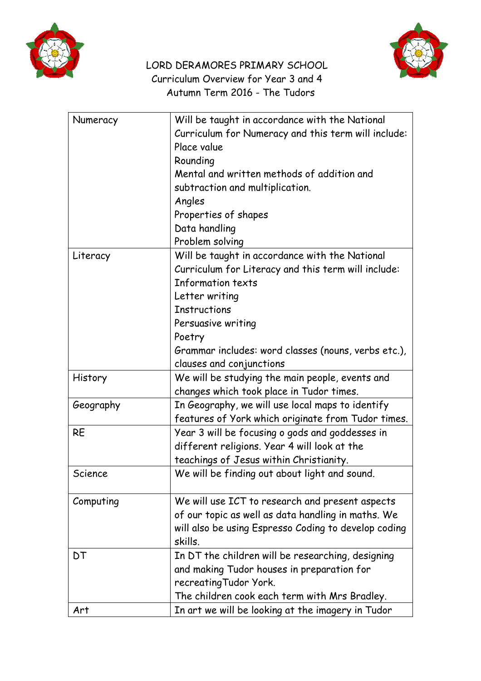



## LORD DERAMORES PRIMARY SCHOOL Curriculum Overview for Year 3 and 4 Autumn Term 2016 - The Tudors

| Numeracy  | Will be taught in accordance with the National       |
|-----------|------------------------------------------------------|
|           | Curriculum for Numeracy and this term will include:  |
|           | Place value                                          |
|           | Rounding                                             |
|           | Mental and written methods of addition and           |
|           | subtraction and multiplication.                      |
|           | Angles                                               |
|           | Properties of shapes                                 |
|           | Data handling                                        |
|           | Problem solving                                      |
| Literacy  | Will be taught in accordance with the National       |
|           | Curriculum for Literacy and this term will include:  |
|           | Information texts                                    |
|           | Letter writing                                       |
|           | <b>Instructions</b>                                  |
|           | Persuasive writing                                   |
|           | Poetry                                               |
|           | Grammar includes: word classes (nouns, verbs etc.),  |
|           | clauses and conjunctions                             |
| History   | We will be studying the main people, events and      |
|           | changes which took place in Tudor times.             |
| Geography | In Geography, we will use local maps to identify     |
|           | features of York which originate from Tudor times.   |
| <b>RE</b> | Year 3 will be focusing o gods and goddesses in      |
|           | different religions. Year 4 will look at the         |
|           | teachings of Jesus within Christianity.              |
| Science   | We will be finding out about light and sound.        |
|           |                                                      |
| Computing | We will use ICT to research and present aspects      |
|           | of our topic as well as data handling in maths. We   |
|           | will also be using Espresso Coding to develop coding |
|           | skills.                                              |
| DT        | In DT the children will be researching, designing    |
|           | and making Tudor houses in preparation for           |
|           | recreating Tudor York.                               |
|           | The children cook each term with Mrs Bradley.        |
| Art       | In art we will be looking at the imagery in Tudor    |